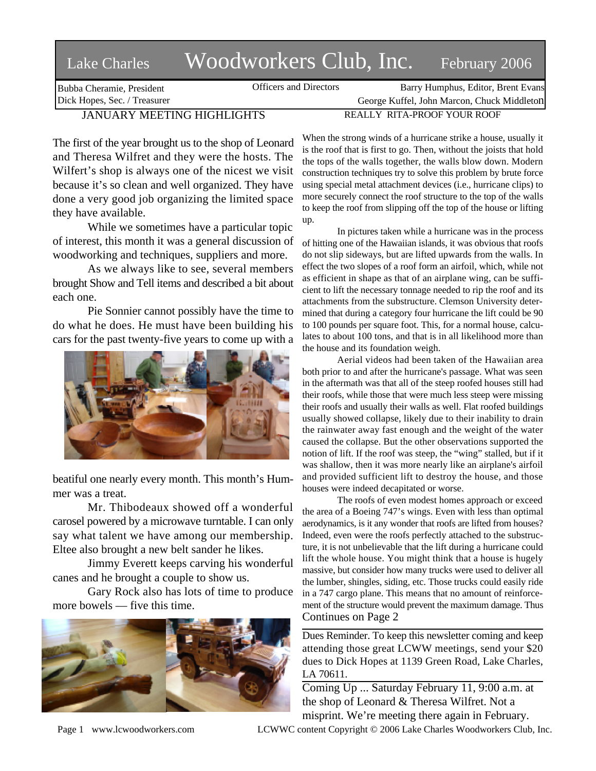## Lake Charles Woodworkers Club, Inc. February 2006

Bubba Cheramie, President Dick Hopes, Sec. / Treasurer Officers and Directors Barry Humphus, Editor, Brent Evans

George Kuffel, John Marcon, Chuck Middleton

## JANUARY MEETING HIGHLIGHTS

The first of the year brought us to the shop of Leonard and Theresa Wilfret and they were the hosts. The Wilfert's shop is always one of the nicest we visit because it's so clean and well organized. They have done a very good job organizing the limited space they have available.

While we sometimes have a particular topic of interest, this month it was a general discussion of woodworking and techniques, suppliers and more.

As we always like to see, several members brought Show and Tell items and described a bit about each one.

Pie Sonnier cannot possibly have the time to do what he does. He must have been building his cars for the past twenty-five years to come up with a



beatiful one nearly every month. This month's Hummer was a treat.

Mr. Thibodeaux showed off a wonderful carosel powered by a microwave turntable. I can only say what talent we have among our membership. Eltee also brought a new belt sander he likes.

Jimmy Everett keeps carving his wonderful canes and he brought a couple to show us.

Gary Rock also has lots of time to produce more bowels — five this time.



When the strong winds of a hurricane strike a house, usually it is the roof that is first to go. Then, without the joists that hold the tops of the walls together, the walls blow down. Modern construction techniques try to solve this problem by brute force using special metal attachment devices (i.e., hurricane clips) to more securely connect the roof structure to the top of the walls to keep the roof from slipping off the top of the house or lifting up.

REALLY RITA-PROOF YOUR ROOF

In pictures taken while a hurricane was in the process of hitting one of the Hawaiian islands, it was obvious that roofs do not slip sideways, but are lifted upwards from the walls. In effect the two slopes of a roof form an airfoil, which, while not as efficient in shape as that of an airplane wing, can be sufficient to lift the necessary tonnage needed to rip the roof and its attachments from the substructure. Clemson University determined that during a category four hurricane the lift could be 90 to 100 pounds per square foot. This, for a normal house, calculates to about 100 tons, and that is in all likelihood more than the house and its foundation weigh.

Aerial videos had been taken of the Hawaiian area both prior to and after the hurricane's passage. What was seen in the aftermath was that all of the steep roofed houses still had their roofs, while those that were much less steep were missing their roofs and usually their walls as well. Flat roofed buildings usually showed collapse, likely due to their inability to drain the rainwater away fast enough and the weight of the water caused the collapse. But the other observations supported the notion of lift. If the roof was steep, the "wing" stalled, but if it was shallow, then it was more nearly like an airplane's airfoil and provided sufficient lift to destroy the house, and those houses were indeed decapitated or worse.

The roofs of even modest homes approach or exceed the area of a Boeing 747's wings. Even with less than optimal aerodynamics, is it any wonder that roofs are lifted from houses? Indeed, even were the roofs perfectly attached to the substructure, it is not unbelievable that the lift during a hurricane could lift the whole house. You might think that a house is hugely massive, but consider how many trucks were used to deliver all the lumber, shingles, siding, etc. Those trucks could easily ride in a 747 cargo plane. This means that no amount of reinforcement of the structure would prevent the maximum damage. Thus Continues on Page 2

Dues Reminder. To keep this newsletter coming and keep attending those great LCWW meetings, send your \$20 dues to Dick Hopes at 1139 Green Road, Lake Charles, LA 70611.

Coming Up ... Saturday February 11, 9:00 a.m. at the shop of Leonard & Theresa Wilfret. Not a misprint. We're meeting there again in February.

Page 1 www.lcwoodworkers.com LCWWC content Copyright © 2006 Lake Charles Woodworkers Club, Inc.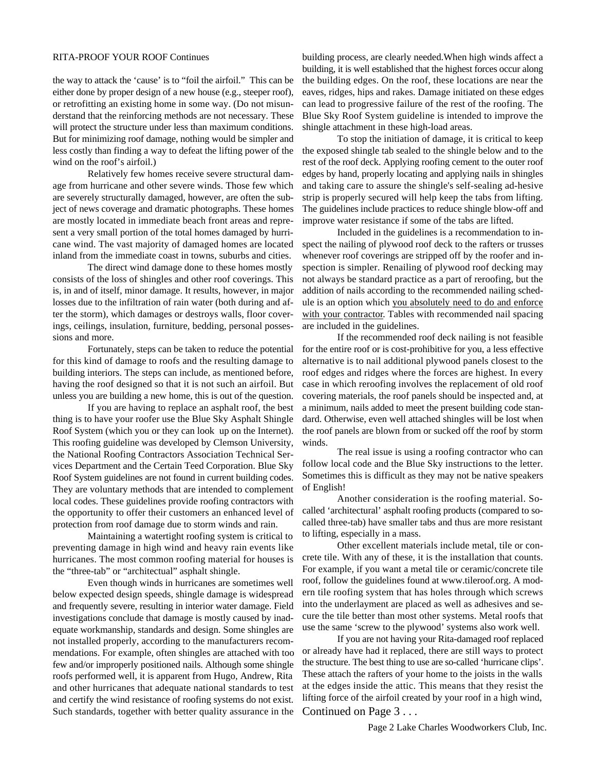## RITA-PROOF YOUR ROOF Continues

the way to attack the 'cause' is to "foil the airfoil." This can be either done by proper design of a new house (e.g., steeper roof), or retrofitting an existing home in some way. (Do not misunderstand that the reinforcing methods are not necessary. These will protect the structure under less than maximum conditions. But for minimizing roof damage, nothing would be simpler and less costly than finding a way to defeat the lifting power of the wind on the roof's airfoil.)

Relatively few homes receive severe structural damage from hurricane and other severe winds. Those few which are severely structurally damaged, however, are often the subject of news coverage and dramatic photographs. These homes are mostly located in immediate beach front areas and represent a very small portion of the total homes damaged by hurricane wind. The vast majority of damaged homes are located inland from the immediate coast in towns, suburbs and cities.

The direct wind damage done to these homes mostly consists of the loss of shingles and other roof coverings. This is, in and of itself, minor damage. It results, however, in major losses due to the infiltration of rain water (both during and after the storm), which damages or destroys walls, floor coverings, ceilings, insulation, furniture, bedding, personal possessions and more.

Fortunately, steps can be taken to reduce the potential for this kind of damage to roofs and the resulting damage to building interiors. The steps can include, as mentioned before, having the roof designed so that it is not such an airfoil. But unless you are building a new home, this is out of the question.

If you are having to replace an asphalt roof, the best thing is to have your roofer use the Blue Sky Asphalt Shingle Roof System (which you or they can look up on the Internet). This roofing guideline was developed by Clemson University, the National Roofing Contractors Association Technical Services Department and the Certain Teed Corporation. Blue Sky Roof System guidelines are not found in current building codes. They are voluntary methods that are intended to complement local codes. These guidelines provide roofing contractors with the opportunity to offer their customers an enhanced level of protection from roof damage due to storm winds and rain.

Maintaining a watertight roofing system is critical to preventing damage in high wind and heavy rain events like hurricanes. The most common roofing material for houses is the "three-tab" or "architectual" asphalt shingle.

Even though winds in hurricanes are sometimes well below expected design speeds, shingle damage is widespread and frequently severe, resulting in interior water damage. Field investigations conclude that damage is mostly caused by inadequate workmanship, standards and design. Some shingles are not installed properly, according to the manufacturers recommendations. For example, often shingles are attached with too few and/or improperly positioned nails. Although some shingle roofs performed well, it is apparent from Hugo, Andrew, Rita and other hurricanes that adequate national standards to test and certify the wind resistance of roofing systems do not exist. Such standards, together with better quality assurance in the building process, are clearly needed.When high winds affect a building, it is well established that the highest forces occur along the building edges. On the roof, these locations are near the eaves, ridges, hips and rakes. Damage initiated on these edges can lead to progressive failure of the rest of the roofing. The Blue Sky Roof System guideline is intended to improve the shingle attachment in these high-load areas.

To stop the initiation of damage, it is critical to keep the exposed shingle tab sealed to the shingle below and to the rest of the roof deck. Applying roofing cement to the outer roof edges by hand, properly locating and applying nails in shingles and taking care to assure the shingle's self-sealing ad-hesive strip is properly secured will help keep the tabs from lifting. The guidelines include practices to reduce shingle blow-off and improve water resistance if some of the tabs are lifted.

Included in the guidelines is a recommendation to inspect the nailing of plywood roof deck to the rafters or trusses whenever roof coverings are stripped off by the roofer and inspection is simpler. Renailing of plywood roof decking may not always be standard practice as a part of reroofing, but the addition of nails according to the recommended nailing schedule is an option which you absolutely need to do and enforce with your contractor. Tables with recommended nail spacing are included in the guidelines.

If the recommended roof deck nailing is not feasible for the entire roof or is cost-prohibitive for you, a less effective alternative is to nail additional plywood panels closest to the roof edges and ridges where the forces are highest. In every case in which reroofing involves the replacement of old roof covering materials, the roof panels should be inspected and, at a minimum, nails added to meet the present building code standard. Otherwise, even well attached shingles will be lost when the roof panels are blown from or sucked off the roof by storm winds.

The real issue is using a roofing contractor who can follow local code and the Blue Sky instructions to the letter. Sometimes this is difficult as they may not be native speakers of English!

Another consideration is the roofing material. Socalled 'architectural' asphalt roofing products (compared to socalled three-tab) have smaller tabs and thus are more resistant to lifting, especially in a mass.

Other excellent materials include metal, tile or concrete tile. With any of these, it is the installation that counts. For example, if you want a metal tile or ceramic/concrete tile roof, follow the guidelines found at www.tileroof.org. A modern tile roofing system that has holes through which screws into the underlayment are placed as well as adhesives and secure the tile better than most other systems. Metal roofs that use the same 'screw to the plywood' systems also work well.

If you are not having your Rita-damaged roof replaced or already have had it replaced, there are still ways to protect the structure. The best thing to use are so-called 'hurricane clips'. These attach the rafters of your home to the joists in the walls at the edges inside the attic. This means that they resist the lifting force of the airfoil created by your roof in a high wind, Continued on Page 3 . . .